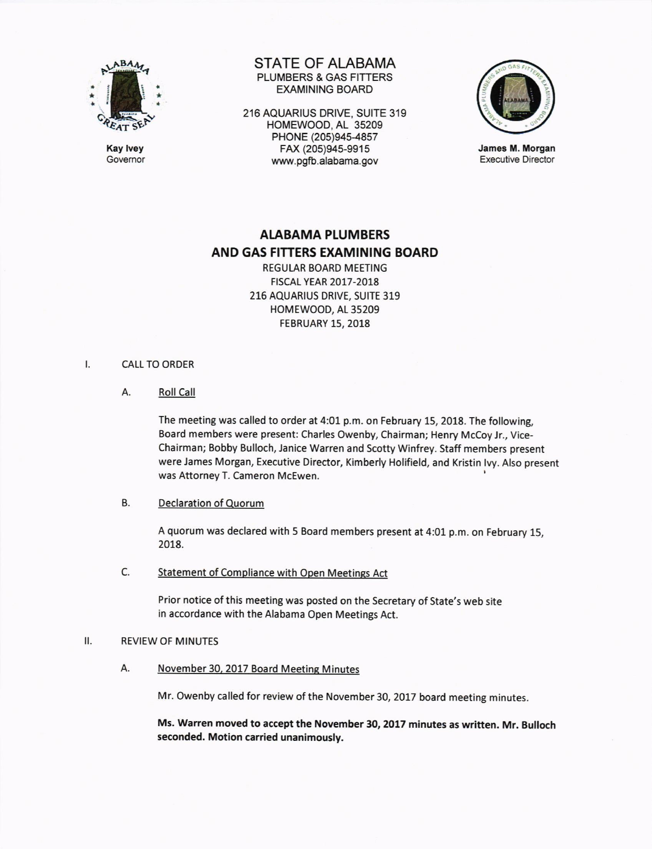

Kay lvey **Governor**  STATE OF ALABAMA PLUMBERS & GAS FITTERS EXAMINING BOARD

216 AOUARIUS DRIVE, SUITE 319 HOMEWOOD, AL 35209 PHONE (205)945-4857 FAX (205)945-9915 www.pgfb.alabama.gov



James M. Morgan Executive Director

# ALABAMA PLUMBERS AND GAS FITTERS EXAMINING BOARD

REGULAR BOARD MEETING HSCAL YEAR 2017-2018 216 AQUARIUS DRIVE, SUITE 319 HOMEWOOD, AL 35209 FEBRUARY 15,2018

#### CALL TO ORDER  $\mathsf{L}$

A. Roll Call

The meeting was called to order at 4:01 p.m. on February 15, 2018. The following, Board members were present: Charles Owenby, Chairman; Henry Mccoy Jr., Vice-Chairman; Bobby Bulloch, Janice Warren and Scotty Winfrey. Staff members present were James Morgan, Executive Director, Kimberly Holifield, and Kristin lvy. Also present was Attorney T. Cameron McEwen.

# B. Declaration of Quorum

<sup>A</sup>quorum was declared with 5 Board members present at 4:01 p.m. on February 15, 2018.

C. Statement of Compliance with Open Meetings Act

Prior notice of this meeting was posted on the Secretary of State's web site in accordance with the Alabama Open Meetings Act.

#### $II.$ **REVIEW OF MINUTES**

A. November 30, 2017 Board Meeting Minutes

Mr. Owenby called for review of the November 30, 2017 board meeting minutes.

Ms. Warren moved to accept the November 30, 2017 minutes as written. Mr. Bulloch seconded. Motion carried unanimously.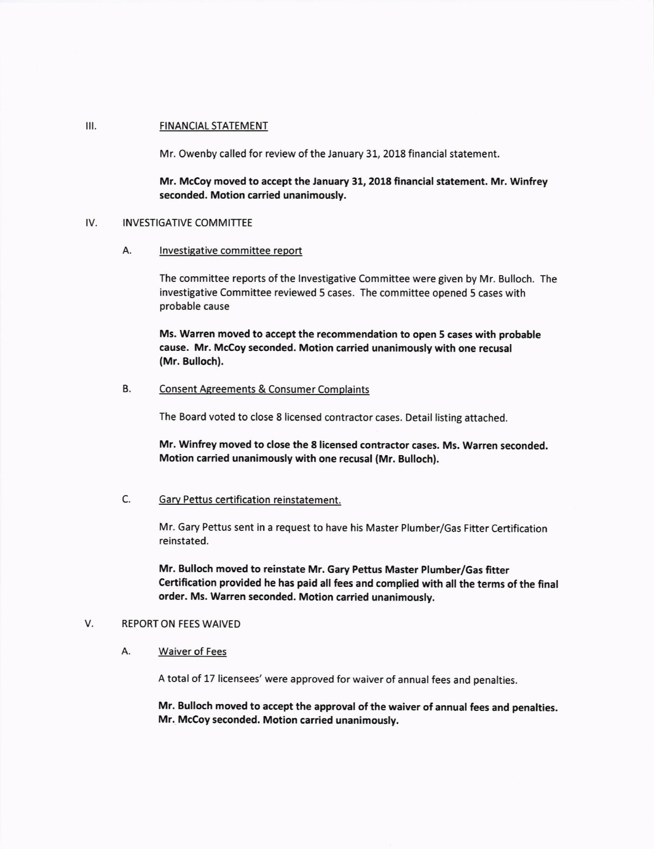#### FINANCIAL STATEMENT  $III.$

Mr. Owenby called for review of the January 31, 2018 financial statement

Mr. Mccoy moved to accept the January 31, 2018 financial statement. Mr. Winfrey seconded. Motion carried unanimously.

### IV. **INVESTIGATIVE COMMITTEE**

A. lnvestigative committee report

The committee reports of the lnvestigative Committee were given by Mr. Bulloch. The investigative Committee reviewed 5 cases. The committee opened 5 cases with probable cause

Ms. Warren moved to accept the recommendation to open 5 cases with probable cause. Mr. Mccoy seconded. Motion carried unanimously with one recusal (Mr. Bulloch).

## B. Consent Agreements & Consumer Complaints

The Board voted to close 8 licensed contractor cases. Detail listing attached.

Mr. Winfrey moved to close the 8 licensed contractor cases. Ms. Warren seconded. Motion carried unanimously with one recusal (Mr. Bulloch).

# C. Garv Pettus certification reinstatement.

Mr. Gary Pettus sent in a request to have his Master Plumber/Gas Fitter Certification reinstated.

Mr. Bulloch moved to reinstate Mr. Gary Pettus Master Plumber/Gas fitter Certification provided he has paid all fees and complied with all the terms of the final order. Ms. Warren seconded. Motion carried unanimously.

#### V. REPORT ON FEES WAIVED

#### А. Waiver of Fees

A total of 17 licensees' were approved for waiver of annual fees and penalties.

Mr. Bulloch moved to accept the approval of the waiver of annual fees and penalties. Mr. Mccoy seconded. Motion carried unanimously.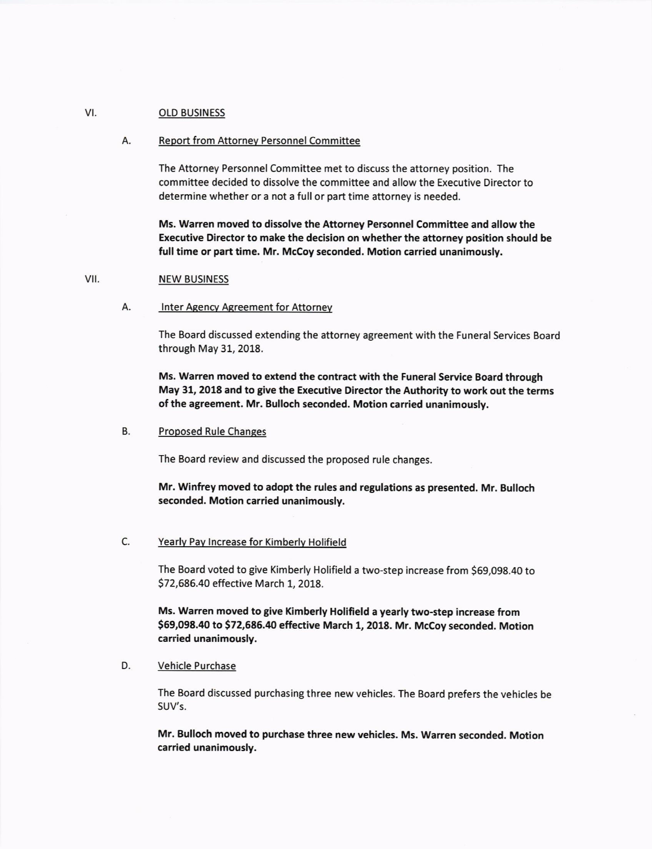#### VI. **OLD BUSINESS**

### A. Report from Attorney Personnel Committee

The Attorney Personnel Committee met to discuss the attorney position. The committee decided to dissolve the committee and allow the Executive Director to determine whether or a not a full or part time attorney is needed.

Ms. Warren moved to dissolve the Attorney Personnel Committee and allow the Executive Director to make the decision on whether the attorney position should be full time or part time. Mr. McCoy seconded. Motion carried unanimously.

#### NEW BUSINESS v<sub>II</sub>.

### A. **Inter Agency Agreement for Attorney**

The Board discussed extending the attorney agreement with the Funeral Services Board through May 31, 2018.

Ms. Warren moved to extend the contract with the Funeral Service Board through May 31, 2018 and to give the Executive Director the Authority to work out the terms of the agreement. Mr. Bulloch seconded. Motion carried unanimously,

### B. Proposed Rule Changes

The Board review and discussed the proposed rule changes

Mr. Winfrey moved to adopt the rules and regulations as presented. Mr. Bulloch seconded. Motion carried unanimously.

### C. Yearlv Pav lncrease for Kimberlv Holifield

The Board voted to give Kimberly Holifield a two-step increase from \$69,098.40 to 572,686.40 effective March 1, 2018.

Ms. Warren moved to give Kimberly Holifield a yearly two-step increase from \$69,098.40 to \$72,686.40 effective March 1, 2018. Mr. McCoy seconded. Motion carried unanimously.

### D. Vehicle Purchase

The Board discussed purchasing three new vehicles. The Board prefers the vehicles be SUV's.

Mr. Bulloch moved to purchase three new vehicles. Ms. Warren seconded. Motion carried unanimously.